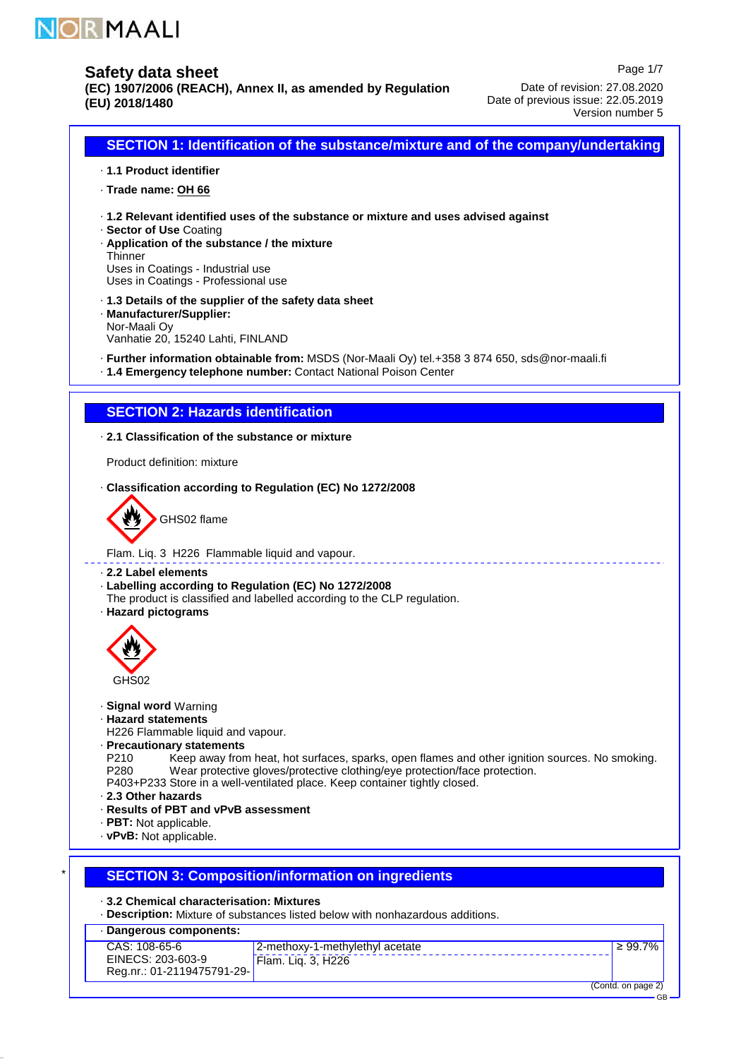

EINECS: 203-603-9 Reg.nr.: 01-2119475791-29-

**(EC) 1907/2006 (REACH), Annex II, as amended by Regulation (EU) 2018/1480**

Date of revision: 27.08.2020 Date of previous issue: 22.05.2019 Version number 5

Page 1/7

**SECTION 1: Identification of the substance/mixture and of the company/undertaking** · **1.1 Product identifier** · **Trade name: OH 66** · **1.2 Relevant identified uses of the substance or mixture and uses advised against** · **Sector of Use** Coating · **Application of the substance / the mixture Thinner** Uses in Coatings - Industrial use Uses in Coatings - Professional use · **1.3 Details of the supplier of the safety data sheet** · **Manufacturer/Supplier:** Nor-Maali Oy Vanhatie 20, 15240 Lahti, FINLAND · **Further information obtainable from:** MSDS (Nor-Maali Oy) tel.+358 3 874 650, sds@nor-maali.fi · **1.4 Emergency telephone number:** Contact National Poison Center **SECTION 2: Hazards identification** · **2.1 Classification of the substance or mixture** Product definition: mixture · **Classification according to Regulation (EC) No 1272/2008** GHS02 flame Flam. Liq. 3 H226 Flammable liquid and vapour. · **2.2 Label elements** · **Labelling according to Regulation (EC) No 1272/2008** The product is classified and labelled according to the CLP regulation. · **Hazard pictograms** GHS02 · **Signal word** Warning · **Hazard statements** H226 Flammable liquid and vapour. · **Precautionary statements** P210 Keep away from heat, hot surfaces, sparks, open flames and other ignition sources. No smoking.<br>P280 Wear protective gloves/protective clothing/eve protection/face protection. Wear protective gloves/protective clothing/eye protection/face protection. P403+P233 Store in a well-ventilated place. Keep container tightly closed. · **2.3 Other hazards** · **Results of PBT and vPvB assessment** · **PBT:** Not applicable. · **vPvB:** Not applicable. **SECTION 3: Composition/information on ingredients** · **3.2 Chemical characterisation: Mixtures** · **Description:** Mixture of substances listed below with nonhazardous additions. · **Dangerous components:** CAS: 108-65-6 2-methoxy-1-methylethyl acetate  $≥ 99.7%$ 

GB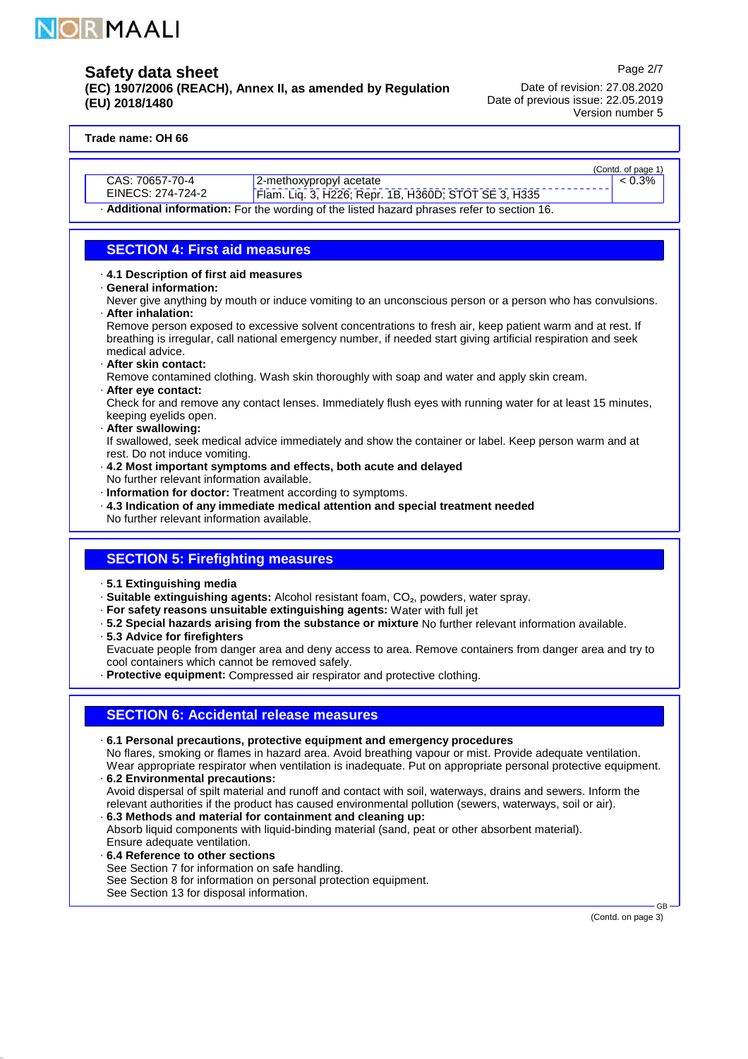

**(EC) 1907/2006 (REACH), Annex II, as amended by Regulation (EU) 2018/1480**

Date of revision: 27.08.2020 Date of previous issue: 22.05.2019 Version number 5

#### **Trade name: OH 66**

| 70657-70-4<br>CAS: . | , 2-methoxypropyl acetate                      |
|----------------------|------------------------------------------------|
| EINECS: 274-724-2    | Flam Lig 3 H226; Repr 1B H360D; STOT SE 3 H335 |

Flam. Liq. 3, H226; Repr. 1B, H360D; STOT SE 3, H335 · **Additional information:** For the wording of the listed hazard phrases refer to section 16.

## **SECTION 4: First aid measures**

#### · **4.1 Description of first aid measures**

· **General information:**

Never give anything by mouth or induce vomiting to an unconscious person or a person who has convulsions. · **After inhalation:**

Remove person exposed to excessive solvent concentrations to fresh air, keep patient warm and at rest. If breathing is irregular, call national emergency number, if needed start giving artificial respiration and seek medical advice.

- · **After skin contact:**
- Remove contamined clothing. Wash skin thoroughly with soap and water and apply skin cream.
- · **After eye contact:**

Check for and remove any contact lenses. Immediately flush eyes with running water for at least 15 minutes, keeping eyelids open.

· **After swallowing:**

If swallowed, seek medical advice immediately and show the container or label. Keep person warm and at rest. Do not induce vomiting.

- · **4.2 Most important symptoms and effects, both acute and delayed** No further relevant information available.
- · **Information for doctor:** Treatment according to symptoms.
- · **4.3 Indication of any immediate medical attention and special treatment needed** No further relevant information available.

# **SECTION 5: Firefighting measures**

· **5.1 Extinguishing media**

· **Suitable extinguishing agents:** Alcohol resistant foam, CO₂, powders, water spray.

- · **For safety reasons unsuitable extinguishing agents:** Water with full jet
- · **5.2 Special hazards arising from the substance or mixture** No further relevant information available.
- · **5.3 Advice for firefighters** Evacuate people from danger area and deny access to area. Remove containers from danger area and try to cool containers which cannot be removed safely.
- · **Protective equipment:** Compressed air respirator and protective clothing.

## **SECTION 6: Accidental release measures**

· **6.1 Personal precautions, protective equipment and emergency procedures** No flares, smoking or flames in hazard area. Avoid breathing vapour or mist. Provide adequate ventilation. Wear appropriate respirator when ventilation is inadequate. Put on appropriate personal protective equipment.

· **6.2 Environmental precautions:** Avoid dispersal of spilt material and runoff and contact with soil, waterways, drains and sewers. Inform the relevant authorities if the product has caused environmental pollution (sewers, waterways, soil or air). · **6.3 Methods and material for containment and cleaning up:**

Absorb liquid components with liquid-binding material (sand, peat or other absorbent material).

- Ensure adequate ventilation. · **6.4 Reference to other sections**
	- See Section 7 for information on safe handling.
- See Section 8 for information on personal protection equipment.
- See Section 13 for disposal information.

(Contd. on page 3)

GB

Page 2/7

(Contd. of page 1)

 $< 0.3\%$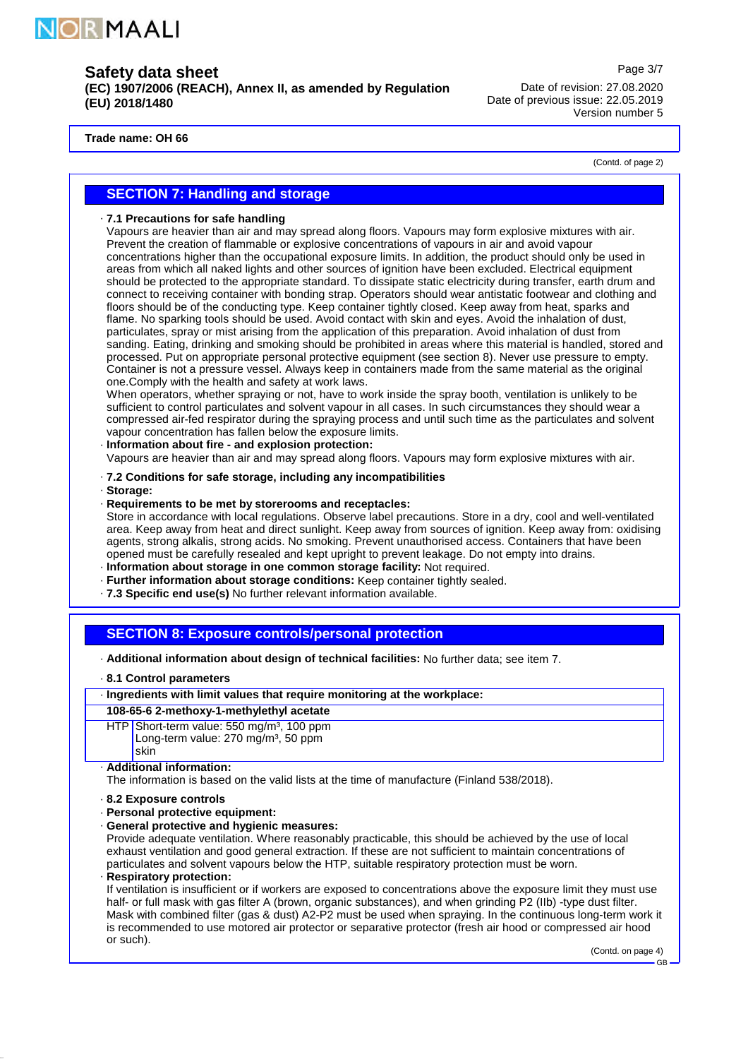

**(EC) 1907/2006 (REACH), Annex II, as amended by Regulation (EU) 2018/1480**

Date of revision: 27.08.2020 Date of previous issue: 22.05.2019 Version number 5

#### **Trade name: OH 66**

(Contd. of page 2)

Page 3/7

#### **SECTION 7: Handling and storage**

#### · **7.1 Precautions for safe handling**

Vapours are heavier than air and may spread along floors. Vapours may form explosive mixtures with air. Prevent the creation of flammable or explosive concentrations of vapours in air and avoid vapour concentrations higher than the occupational exposure limits. In addition, the product should only be used in areas from which all naked lights and other sources of ignition have been excluded. Electrical equipment should be protected to the appropriate standard. To dissipate static electricity during transfer, earth drum and connect to receiving container with bonding strap. Operators should wear antistatic footwear and clothing and floors should be of the conducting type. Keep container tightly closed. Keep away from heat, sparks and flame. No sparking tools should be used. Avoid contact with skin and eyes. Avoid the inhalation of dust, particulates, spray or mist arising from the application of this preparation. Avoid inhalation of dust from sanding. Eating, drinking and smoking should be prohibited in areas where this material is handled, stored and processed. Put on appropriate personal protective equipment (see section 8). Never use pressure to empty. Container is not a pressure vessel. Always keep in containers made from the same material as the original one.Comply with the health and safety at work laws.

When operators, whether spraying or not, have to work inside the spray booth, ventilation is unlikely to be sufficient to control particulates and solvent vapour in all cases. In such circumstances they should wear a compressed air-fed respirator during the spraying process and until such time as the particulates and solvent vapour concentration has fallen below the exposure limits.

· **Information about fire - and explosion protection:**

Vapours are heavier than air and may spread along floors. Vapours may form explosive mixtures with air.

- · **7.2 Conditions for safe storage, including any incompatibilities**
- · **Storage:**
- · **Requirements to be met by storerooms and receptacles:**

Store in accordance with local regulations. Observe label precautions. Store in a dry, cool and well-ventilated area. Keep away from heat and direct sunlight. Keep away from sources of ignition. Keep away from: oxidising agents, strong alkalis, strong acids. No smoking. Prevent unauthorised access. Containers that have been opened must be carefully resealed and kept upright to prevent leakage. Do not empty into drains.

· **Information about storage in one common storage facility:** Not required.

- · **Further information about storage conditions:** Keep container tightly sealed.
- · **7.3 Specific end use(s)** No further relevant information available.

## **SECTION 8: Exposure controls/personal protection**

· **Additional information about design of technical facilities:** No further data; see item 7.

#### · **8.1 Control parameters**

· **Ingredients with limit values that require monitoring at the workplace:**

#### **108-65-6 2-methoxy-1-methylethyl acetate**

HTP Short-term value: 550 mg/m<sup>3</sup>, 100 ppm Long-term value: 270 mg/m<sup>3</sup>, 50 ppm skin

#### · **Additional information:**

The information is based on the valid lists at the time of manufacture (Finland 538/2018).

- · **8.2 Exposure controls**
- · **Personal protective equipment:**
- · **General protective and hygienic measures:**

Provide adequate ventilation. Where reasonably practicable, this should be achieved by the use of local exhaust ventilation and good general extraction. If these are not sufficient to maintain concentrations of particulates and solvent vapours below the HTP, suitable respiratory protection must be worn.

· **Respiratory protection:**

If ventilation is insufficient or if workers are exposed to concentrations above the exposure limit they must use half- or full mask with gas filter A (brown, organic substances), and when grinding P2 (IIb) -type dust filter. Mask with combined filter (gas & dust) A2-P2 must be used when spraying. In the continuous long-term work it is recommended to use motored air protector or separative protector (fresh air hood or compressed air hood or such).

(Contd. on page 4)

GB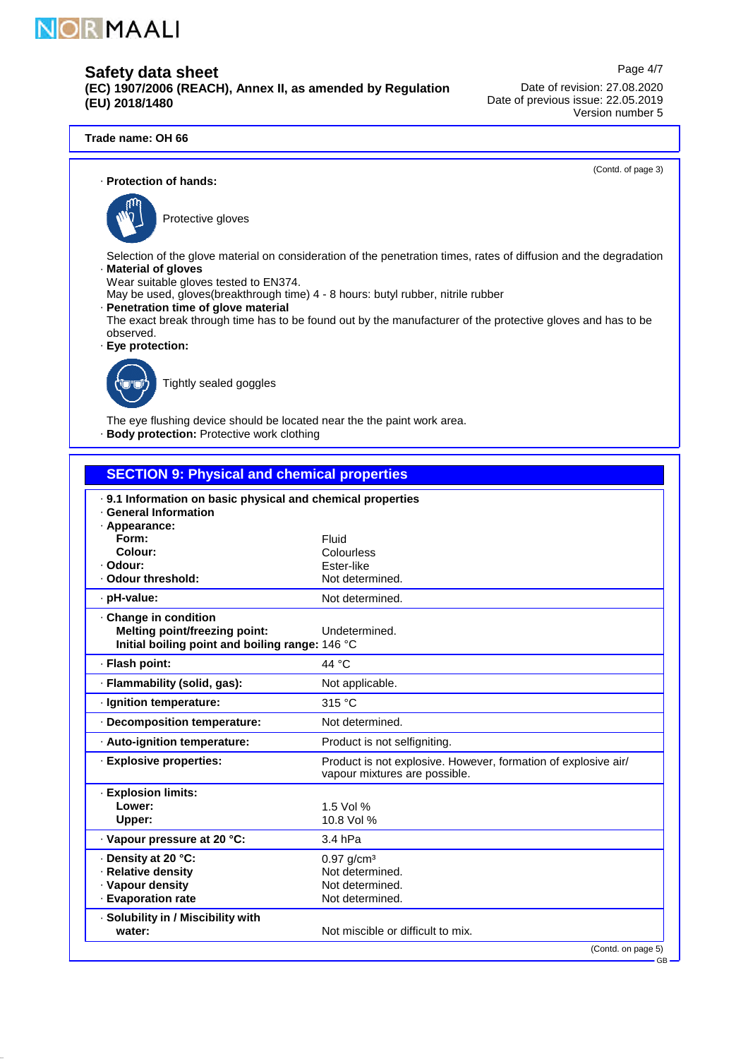

**(EC) 1907/2006 (REACH), Annex II, as amended by Regulation (EU) 2018/1480**

Date of revision: 27.08.2020 Date of previous issue: 22.05.2019 Version number 5

(Contd. of page 3)

Page 4/7

#### · **Protection of hands:**



Protective gloves

- Selection of the glove material on consideration of the penetration times, rates of diffusion and the degradation · **Material of gloves**
- Wear suitable gloves tested to EN374.
- May be used, gloves(breakthrough time) 4 8 hours: butyl rubber, nitrile rubber
- · **Penetration time of glove material**
- The exact break through time has to be found out by the manufacturer of the protective gloves and has to be observed.
- · **Eye protection:**



Tightly sealed goggles

The eye flushing device should be located near the the paint work area. · **Body protection:** Protective work clothing

| <b>SECTION 9: Physical and chemical properties</b>          |                                                                                                 |
|-------------------------------------------------------------|-------------------------------------------------------------------------------------------------|
| · 9.1 Information on basic physical and chemical properties |                                                                                                 |
| · General Information                                       |                                                                                                 |
| · Appearance:                                               |                                                                                                 |
| Form:                                                       | Fluid                                                                                           |
| Colour:                                                     | Colourless                                                                                      |
| · Odour:                                                    | Ester-like                                                                                      |
| · Odour threshold:                                          | Not determined.                                                                                 |
| · pH-value:                                                 | Not determined.                                                                                 |
| Change in condition                                         |                                                                                                 |
| <b>Melting point/freezing point:</b>                        | Undetermined.                                                                                   |
| Initial boiling point and boiling range: 146 °C             |                                                                                                 |
| · Flash point:                                              | 44 °C                                                                                           |
| · Flammability (solid, gas):                                | Not applicable.                                                                                 |
| · Ignition temperature:                                     | 315 °C                                                                                          |
| · Decomposition temperature:                                | Not determined.                                                                                 |
| · Auto-ignition temperature:                                | Product is not selfigniting.                                                                    |
| · Explosive properties:                                     | Product is not explosive. However, formation of explosive air/<br>vapour mixtures are possible. |
| · Explosion limits:                                         |                                                                                                 |
| Lower:                                                      | 1.5 Vol %                                                                                       |
| Upper:                                                      | 10.8 Vol %                                                                                      |
| · Vapour pressure at 20 °C:                                 | 3.4 hPa                                                                                         |
| · Density at 20 °C:                                         | $0.97$ g/cm <sup>3</sup>                                                                        |
| · Relative density                                          | Not determined.                                                                                 |
| · Vapour density                                            | Not determined.                                                                                 |
| · Evaporation rate                                          | Not determined.                                                                                 |
| · Solubility in / Miscibility with                          |                                                                                                 |
| water:                                                      | Not miscible or difficult to mix.                                                               |
|                                                             | (Contd. on page 5)                                                                              |
|                                                             | $GB -$                                                                                          |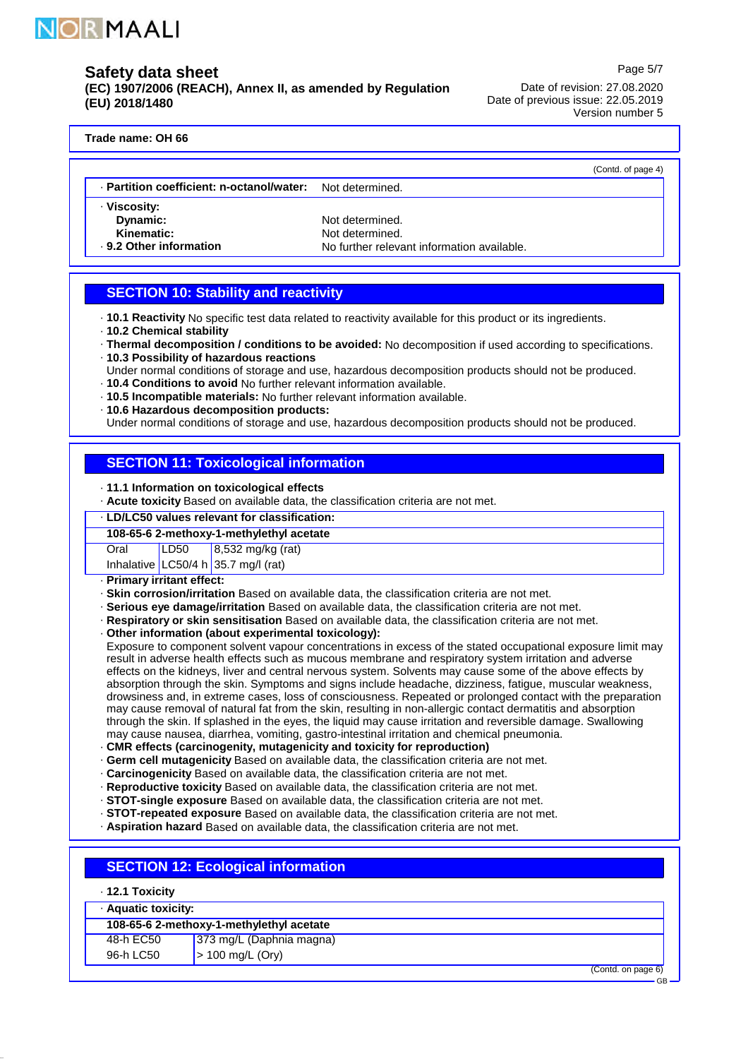

**(EC) 1907/2006 (REACH), Annex II, as amended by Regulation (EU) 2018/1480**

Page 5/7

Date of revision: 27.08.2020 Date of previous issue: 22.05.2019 Version number 5

#### **Trade name: OH 66**

|                                                           |                                            | (Contd. of page 4) |
|-----------------------------------------------------------|--------------------------------------------|--------------------|
| · Partition coefficient: n-octanol/water: Not determined. |                                            |                    |
| · Viscosity:                                              |                                            |                    |
| Dynamic:                                                  | Not determined.                            |                    |
| Kinematic:                                                | Not determined.                            |                    |
| ⋅ 9.2 Other information                                   | No further relevant information available. |                    |
|                                                           |                                            |                    |
|                                                           |                                            |                    |
|                                                           |                                            |                    |

## **SECTION 10: Stability and reactivity**

- · **10.1 Reactivity** No specific test data related to reactivity available for this product or its ingredients.
- · **10.2 Chemical stability**
- · **Thermal decomposition / conditions to be avoided:** No decomposition if used according to specifications. · **10.3 Possibility of hazardous reactions**
- Under normal conditions of storage and use, hazardous decomposition products should not be produced.
- · **10.4 Conditions to avoid** No further relevant information available.
- · **10.5 Incompatible materials:** No further relevant information available.
- · **10.6 Hazardous decomposition products:**

Under normal conditions of storage and use, hazardous decomposition products should not be produced.

## **SECTION 11: Toxicological information**

- · **11.1 Information on toxicological effects**
- · **Acute toxicity** Based on available data, the classification criteria are not met.
- · **LD/LC50 values relevant for classification:**

#### **108-65-6 2-methoxy-1-methylethyl acetate**

Oral LD50 8,532 mg/kg (rat)

Inhalative LC50/4 h 35.7 mg/l (rat)

- · **Primary irritant effect:**
- · **Skin corrosion/irritation** Based on available data, the classification criteria are not met.
- · **Serious eye damage/irritation** Based on available data, the classification criteria are not met.
- · **Respiratory or skin sensitisation** Based on available data, the classification criteria are not met.
- · **Other information (about experimental toxicology):**

Exposure to component solvent vapour concentrations in excess of the stated occupational exposure limit may result in adverse health effects such as mucous membrane and respiratory system irritation and adverse effects on the kidneys, liver and central nervous system. Solvents may cause some of the above effects by absorption through the skin. Symptoms and signs include headache, dizziness, fatigue, muscular weakness, drowsiness and, in extreme cases, loss of consciousness. Repeated or prolonged contact with the preparation may cause removal of natural fat from the skin, resulting in non-allergic contact dermatitis and absorption through the skin. If splashed in the eyes, the liquid may cause irritation and reversible damage. Swallowing may cause nausea, diarrhea, vomiting, gastro-intestinal irritation and chemical pneumonia.

- · **CMR effects (carcinogenity, mutagenicity and toxicity for reproduction)**
- · **Germ cell mutagenicity** Based on available data, the classification criteria are not met.
- · **Carcinogenicity** Based on available data, the classification criteria are not met.
- · **Reproductive toxicity** Based on available data, the classification criteria are not met.
- · **STOT-single exposure** Based on available data, the classification criteria are not met.
- · **STOT-repeated exposure** Based on available data, the classification criteria are not met.
- · **Aspiration hazard** Based on available data, the classification criteria are not met.

# **SECTION 12: Ecological information**

### · **12.1 Toxicity**

| Aquatic toxicity:                        |                                    |                    |
|------------------------------------------|------------------------------------|--------------------|
| 108-65-6 2-methoxy-1-methylethyl acetate |                                    |                    |
| 48-h EC50                                | $373 \text{ mg/L}$ (Daphnia magna) |                    |
| 96-h LC50                                | $> 100 \text{ mg/L}$ (Ory)         |                    |
|                                          |                                    | (Contd. on page 6) |

GB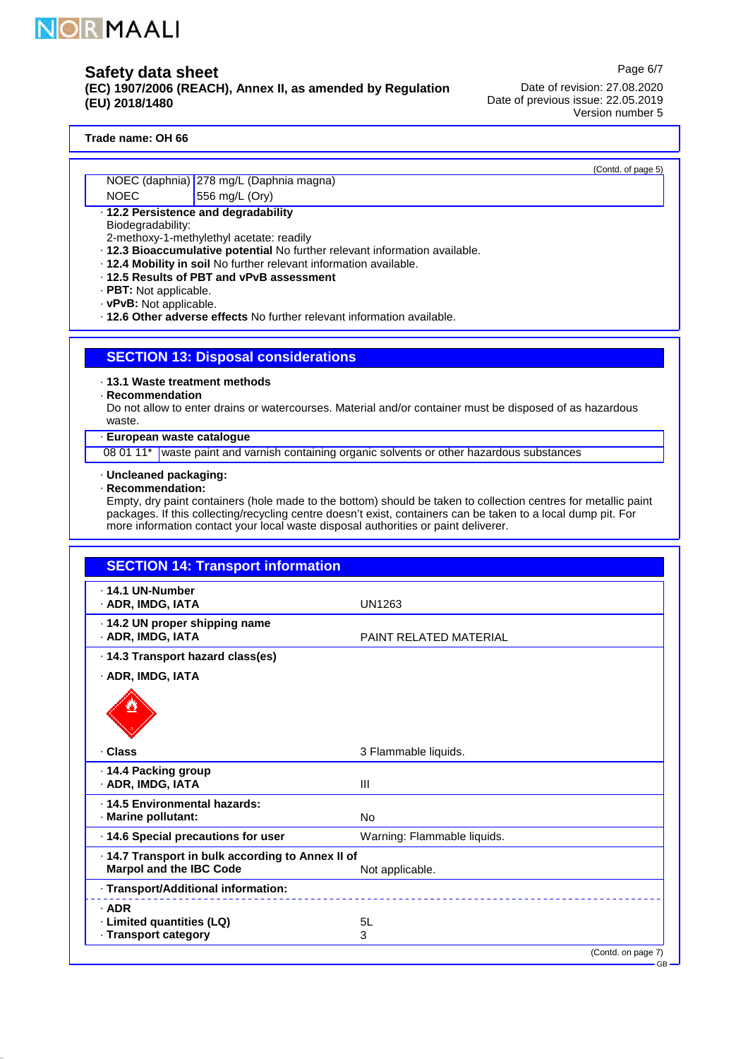

**(EC) 1907/2006 (REACH), Annex II, as amended by Regulation (EU) 2018/1480**

Date of revision: 27.08.2020 Date of previous issue: 22.05.2019 Version number 5

#### **Trade name: OH 66**

NOEC (daphnia) 278 mg/L (Daphnia magna)

#### NOEC 556 mg/L (Ory) · **12.2 Persistence and degradability**

Biodegradability:

- 2-methoxy-1-methylethyl acetate: readily
- · **12.3 Bioaccumulative potential** No further relevant information available.
- · **12.4 Mobility in soil** No further relevant information available.
- · **12.5 Results of PBT and vPvB assessment**
- · **PBT:** Not applicable.
- · **vPvB:** Not applicable.
- · **12.6 Other adverse effects** No further relevant information available.

## **SECTION 13: Disposal considerations**

- · **13.1 Waste treatment methods**
- · **Recommendation**

Do not allow to enter drains or watercourses. Material and/or container must be disposed of as hazardous waste.

#### · **European waste catalogue**

08 01 11\* waste paint and varnish containing organic solvents or other hazardous substances

# · **Uncleaned packaging:**

· **Recommendation:**

Empty, dry paint containers (hole made to the bottom) should be taken to collection centres for metallic paint packages. If this collecting/recycling centre doesn't exist, containers can be taken to a local dump pit. For more information contact your local waste disposal authorities or paint deliverer.

| <b>SECTION 14: Transport information</b>                                            |                               |                              |
|-------------------------------------------------------------------------------------|-------------------------------|------------------------------|
| . 14.1 UN-Number<br>· ADR, IMDG, IATA                                               | <b>UN1263</b>                 |                              |
| · 14.2 UN proper shipping name<br>· ADR, IMDG, IATA                                 | <b>PAINT RELATED MATERIAL</b> |                              |
| · 14.3 Transport hazard class(es)                                                   |                               |                              |
| · ADR, IMDG, IATA                                                                   |                               |                              |
|                                                                                     |                               |                              |
| · Class                                                                             | 3 Flammable liquids.          |                              |
| ⋅ 14.4 Packing group<br>· ADR, IMDG, IATA                                           | Ш                             |                              |
| . 14.5 Environmental hazards:<br>· Marine pollutant:                                | <b>No</b>                     |                              |
| · 14.6 Special precautions for user                                                 | Warning: Flammable liquids.   |                              |
| · 14.7 Transport in bulk according to Annex II of<br><b>Marpol and the IBC Code</b> | Not applicable.               |                              |
| · Transport/Additional information:                                                 |                               |                              |
| $·$ ADR                                                                             |                               |                              |
| · Limited quantities (LQ)                                                           | 5L                            |                              |
| · Transport category                                                                | 3                             |                              |
|                                                                                     |                               | (Contd. on page 7)<br>$GB -$ |

Page 6/7

(Contd. of page 5)